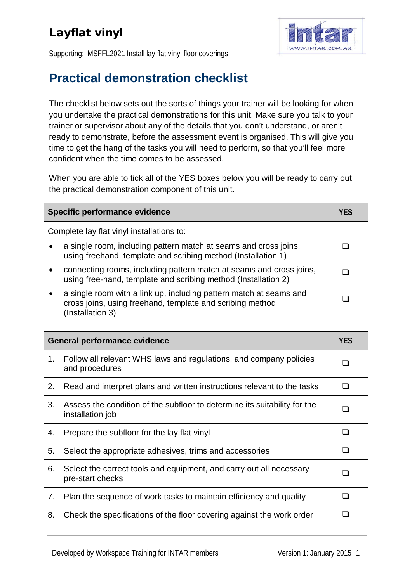## Layflat vinyl



Supporting: MSFFL2021 Install lay flat vinyl floor coverings

## **Practical demonstration checklist**

The checklist below sets out the sorts of things your trainer will be looking for when you undertake the practical demonstrations for this unit. Make sure you talk to your trainer or supervisor about any of the details that you don't understand, or aren't ready to demonstrate, before the assessment event is organised. This will give you time to get the hang of the tasks you will need to perform, so that you'll feel more confident when the time comes to be assessed.

When you are able to tick all of the YES boxes below you will be ready to carry out the practical demonstration component of this unit.

| Specific performance evidence                                                                                                                            |  |  |  |
|----------------------------------------------------------------------------------------------------------------------------------------------------------|--|--|--|
| Complete lay flat vinyl installations to:                                                                                                                |  |  |  |
| a single room, including pattern match at seams and cross joins,<br>$\bullet$<br>using freehand, template and scribing method (Installation 1)           |  |  |  |
| connecting rooms, including pattern match at seams and cross joins,<br>$\bullet$<br>using free-hand, template and scribing method (Installation 2)       |  |  |  |
| a single room with a link up, including pattern match at seams and<br>٠<br>cross joins, using freehand, template and scribing method<br>(Installation 3) |  |  |  |

| <b>General performance evidence</b> |                                                                                               | <b>YES</b> |
|-------------------------------------|-----------------------------------------------------------------------------------------------|------------|
| 1.                                  | Follow all relevant WHS laws and regulations, and company policies<br>and procedures          |            |
| 2.                                  | Read and interpret plans and written instructions relevant to the tasks                       |            |
| 3.                                  | Assess the condition of the subfloor to determine its suitability for the<br>installation job |            |
| 4.                                  | Prepare the subfloor for the lay flat vinyl                                                   |            |
| 5.                                  | Select the appropriate adhesives, trims and accessories                                       |            |
| 6.                                  | Select the correct tools and equipment, and carry out all necessary<br>pre-start checks       |            |
| 7.                                  | Plan the sequence of work tasks to maintain efficiency and quality                            |            |
| 8.                                  | Check the specifications of the floor covering against the work order                         |            |